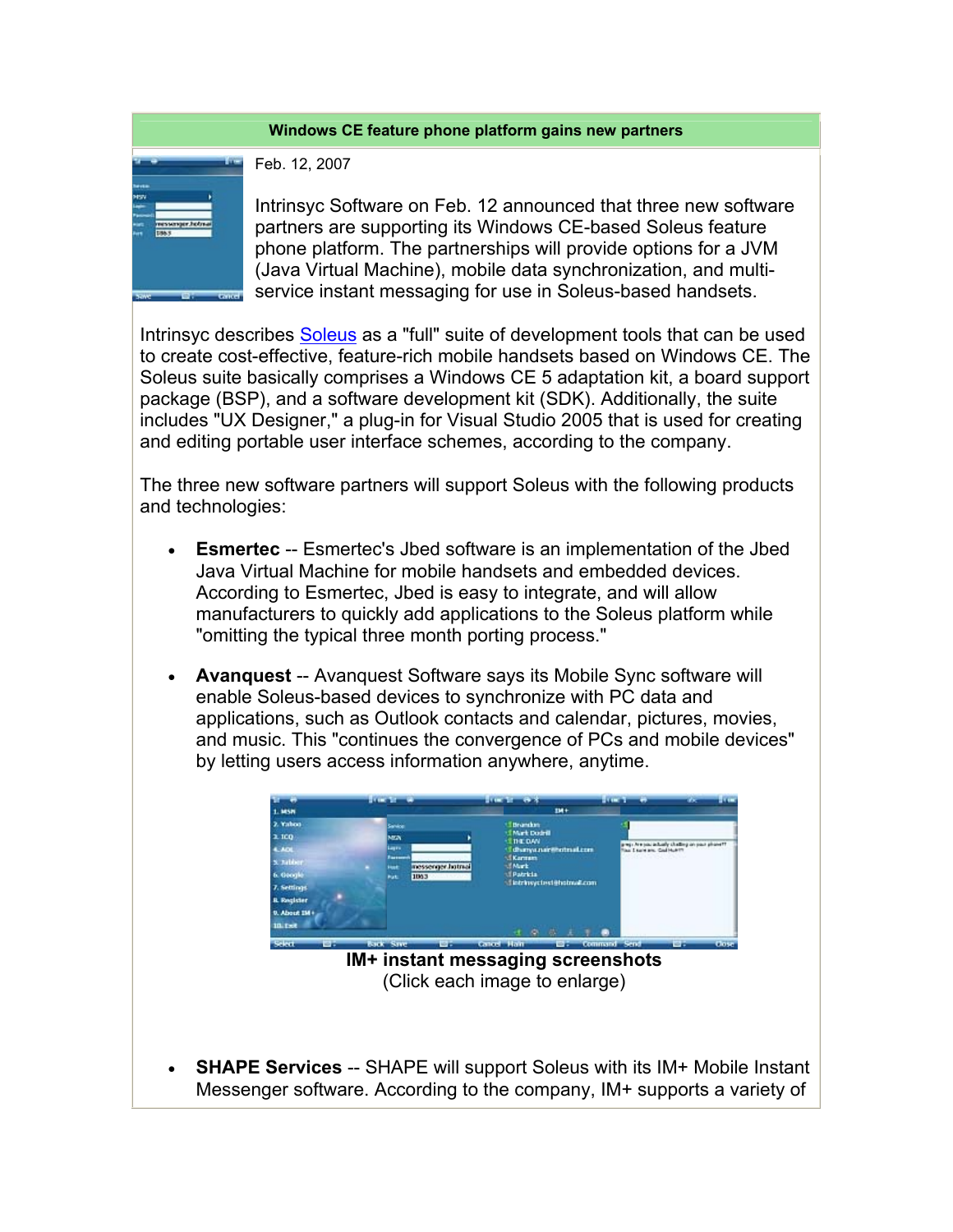## **Windows CE feature phone platform gains new partners**



Feb. 12, 2007

Intrinsyc Software on Feb. 12 announced that three new software partners are supporting its Windows CE-based Soleus feature phone platform. The partnerships will provide options for a JVM (Java Virtual Machine), mobile data synchronization, and multiservice instant messaging for use in Soleus-based handsets.

Intrinsyc describes Soleus as a "full" suite of development tools that can be used to create cost-effective, feature-rich mobile handsets based on Windows CE. The Soleus suite basically comprises a Windows CE 5 adaptation kit, a board support package (BSP), and a software development kit (SDK). Additionally, the suite includes "UX Designer," a plug-in for Visual Studio 2005 that is used for creating and editing portable user interface schemes, according to the company.

The three new software partners will support Soleus with the following products and technologies:

- **Esmertec** -- Esmertec's Jbed software is an implementation of the Jbed Java Virtual Machine for mobile handsets and embedded devices. According to Esmertec, Jbed is easy to integrate, and will allow manufacturers to quickly add applications to the Soleus platform while "omitting the typical three month porting process."
- **Avanquest** -- Avanquest Software says its Mobile Sync software will enable Soleus-based devices to synchronize with PC data and applications, such as Outlook contacts and calendar, pictures, movies, and music. This "continues the convergence of PCs and mobile devices" by letting users access information anywhere, anytime.



(Click each image to enlarge)

• **SHAPE Services** -- SHAPE will support Soleus with its IM+ Mobile Instant Messenger software. According to the company, IM+ supports a variety of